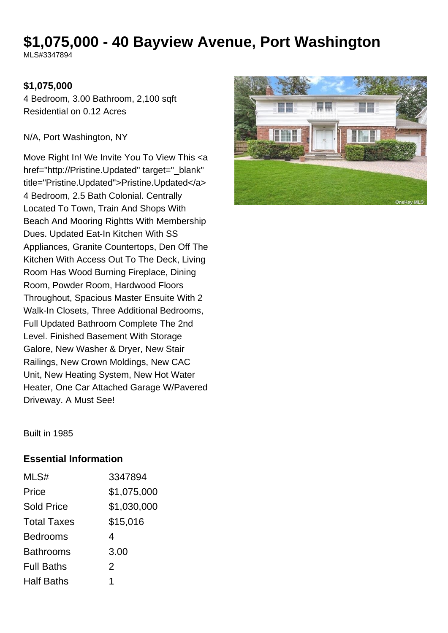# **\$1,075,000 - 40 Bayview Avenue, Port Washington**

MLS#3347894

## **\$1,075,000**

4 Bedroom, 3.00 Bathroom, 2,100 sqft Residential on 0.12 Acres

N/A, Port Washington, NY

Move Right In! We Invite You To View This <a href="http://Pristine.Updated" target="\_blank" title="Pristine.Updated">Pristine.Updated</a> 4 Bedroom, 2.5 Bath Colonial. Centrally Located To Town, Train And Shops With Beach And Mooring Rightts With Membership Dues. Updated Eat-In Kitchen With SS Appliances, Granite Countertops, Den Off The Kitchen With Access Out To The Deck, Living Room Has Wood Burning Fireplace, Dining Room, Powder Room, Hardwood Floors Throughout, Spacious Master Ensuite With 2 Walk-In Closets, Three Additional Bedrooms, Full Updated Bathroom Complete The 2nd Level. Finished Basement With Storage Galore, New Washer & Dryer, New Stair Railings, New Crown Moldings, New CAC Unit, New Heating System, New Hot Water Heater, One Car Attached Garage W/Pavered Driveway. A Must See!



Built in 1985

#### **Essential Information**

| MLS#               | 3347894     |
|--------------------|-------------|
| Price              | \$1,075,000 |
| <b>Sold Price</b>  | \$1,030,000 |
| <b>Total Taxes</b> | \$15,016    |
| <b>Bedrooms</b>    | 4           |
| <b>Bathrooms</b>   | 3.00        |
| <b>Full Baths</b>  | 2           |
| <b>Half Baths</b>  | 1           |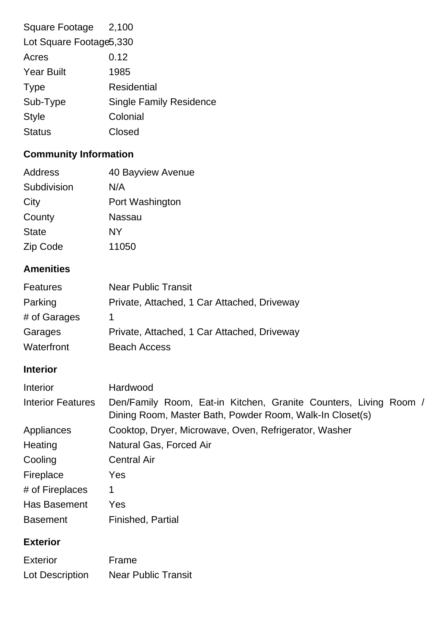| Square Footage 2,100     |                                |  |
|--------------------------|--------------------------------|--|
| Lot Square Footage 5,330 |                                |  |
| Acres                    | 0.12                           |  |
| <b>Year Built</b>        | 1985                           |  |
| <b>Type</b>              | Residential                    |  |
| Sub-Type                 | <b>Single Family Residence</b> |  |
| <b>Style</b>             | Colonial                       |  |
| <b>Status</b>            | Closed                         |  |
|                          |                                |  |

# **Community Information**

| Address      | 40 Bayview Avenue |
|--------------|-------------------|
| Subdivision  | N/A               |
| City         | Port Washington   |
| County       | Nassau            |
| <b>State</b> | NY                |
| Zip Code     | 11050             |

## **Amenities**

| <b>Features</b> | <b>Near Public Transit</b>                  |
|-----------------|---------------------------------------------|
| Parking         | Private, Attached, 1 Car Attached, Driveway |
| # of Garages    |                                             |
| Garages         | Private, Attached, 1 Car Attached, Driveway |
| Waterfront      | <b>Beach Access</b>                         |

## **Interior**

| Interior                 | Hardwood                                                                                                                     |
|--------------------------|------------------------------------------------------------------------------------------------------------------------------|
| <b>Interior Features</b> | Den/Family Room, Eat-in Kitchen, Granite Counters, Living Room /<br>Dining Room, Master Bath, Powder Room, Walk-In Closet(s) |
| Appliances               | Cooktop, Dryer, Microwave, Oven, Refrigerator, Washer                                                                        |
| Heating                  | Natural Gas, Forced Air                                                                                                      |
| Cooling                  | <b>Central Air</b>                                                                                                           |
| Fireplace                | Yes                                                                                                                          |
| # of Fireplaces          | 1                                                                                                                            |
| <b>Has Basement</b>      | Yes                                                                                                                          |
| <b>Basement</b>          | Finished, Partial                                                                                                            |

# **Exterior**

| <b>Exterior</b> | Frame                      |
|-----------------|----------------------------|
| Lot Description | <b>Near Public Transit</b> |